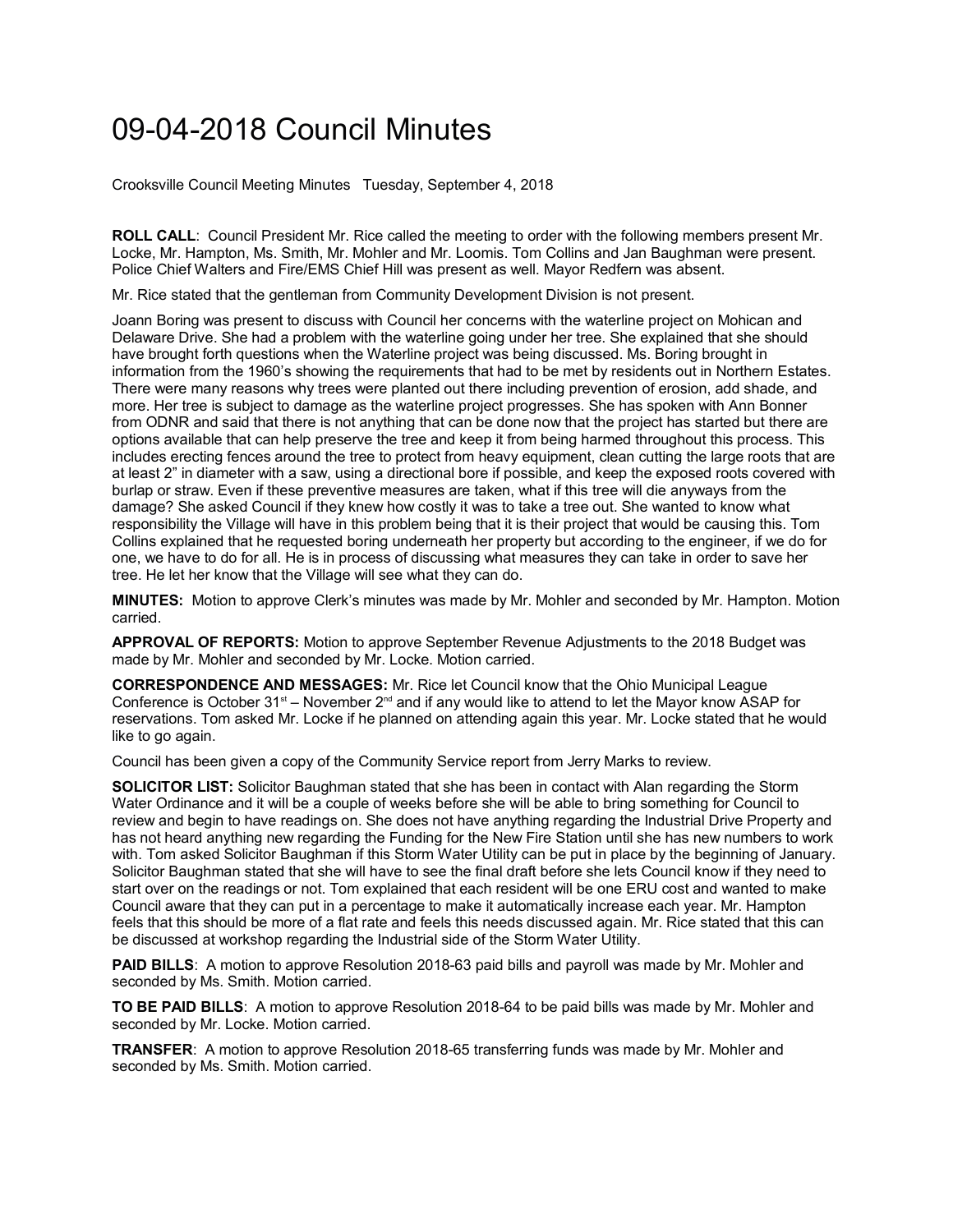## 09-04-2018 Council Minutes

Crooksville Council Meeting Minutes Tuesday, September 4, 2018

**ROLL CALL**: Council President Mr. Rice called the meeting to order with the following members present Mr. Locke, Mr. Hampton, Ms. Smith, Mr. Mohler and Mr. Loomis. Tom Collins and Jan Baughman were present. Police Chief Walters and Fire/EMS Chief Hill was present as well. Mayor Redfern was absent.

Mr. Rice stated that the gentleman from Community Development Division is not present.

Joann Boring was present to discuss with Council her concerns with the waterline project on Mohican and Delaware Drive. She had a problem with the waterline going under her tree. She explained that she should have brought forth questions when the Waterline project was being discussed. Ms. Boring brought in information from the 1960's showing the requirements that had to be met by residents out in Northern Estates. There were many reasons why trees were planted out there including prevention of erosion, add shade, and more. Her tree is subject to damage as the waterline project progresses. She has spoken with Ann Bonner from ODNR and said that there is not anything that can be done now that the project has started but there are options available that can help preserve the tree and keep it from being harmed throughout this process. This includes erecting fences around the tree to protect from heavy equipment, clean cutting the large roots that are at least 2" in diameter with a saw, using a directional bore if possible, and keep the exposed roots covered with burlap or straw. Even if these preventive measures are taken, what if this tree will die anyways from the damage? She asked Council if they knew how costly it was to take a tree out. She wanted to know what responsibility the Village will have in this problem being that it is their project that would be causing this. Tom Collins explained that he requested boring underneath her property but according to the engineer, if we do for one, we have to do for all. He is in process of discussing what measures they can take in order to save her tree. He let her know that the Village will see what they can do.

**MINUTES:** Motion to approve Clerk's minutes was made by Mr. Mohler and seconded by Mr. Hampton. Motion carried.

**APPROVAL OF REPORTS:** Motion to approve September Revenue Adjustments to the 2018 Budget was made by Mr. Mohler and seconded by Mr. Locke. Motion carried.

**CORRESPONDENCE AND MESSAGES:** Mr. Rice let Council know that the Ohio Municipal League Conference is October  $31<sup>st</sup> - November 2<sup>nd</sup>$  and if any would like to attend to let the Mayor know ASAP for reservations. Tom asked Mr. Locke if he planned on attending again this year. Mr. Locke stated that he would like to go again.

Council has been given a copy of the Community Service report from Jerry Marks to review.

**SOLICITOR LIST:** Solicitor Baughman stated that she has been in contact with Alan regarding the Storm Water Ordinance and it will be a couple of weeks before she will be able to bring something for Council to review and begin to have readings on. She does not have anything regarding the Industrial Drive Property and has not heard anything new regarding the Funding for the New Fire Station until she has new numbers to work with. Tom asked Solicitor Baughman if this Storm Water Utility can be put in place by the beginning of January. Solicitor Baughman stated that she will have to see the final draft before she lets Council know if they need to start over on the readings or not. Tom explained that each resident will be one ERU cost and wanted to make Council aware that they can put in a percentage to make it automatically increase each year. Mr. Hampton feels that this should be more of a flat rate and feels this needs discussed again. Mr. Rice stated that this can be discussed at workshop regarding the Industrial side of the Storm Water Utility.

**PAID BILLS**: A motion to approve Resolution 2018-63 paid bills and payroll was made by Mr. Mohler and seconded by Ms. Smith. Motion carried.

**TO BE PAID BILLS**: A motion to approve Resolution 2018-64 to be paid bills was made by Mr. Mohler and seconded by Mr. Locke. Motion carried.

**TRANSFER**: A motion to approve Resolution 2018-65 transferring funds was made by Mr. Mohler and seconded by Ms. Smith. Motion carried.